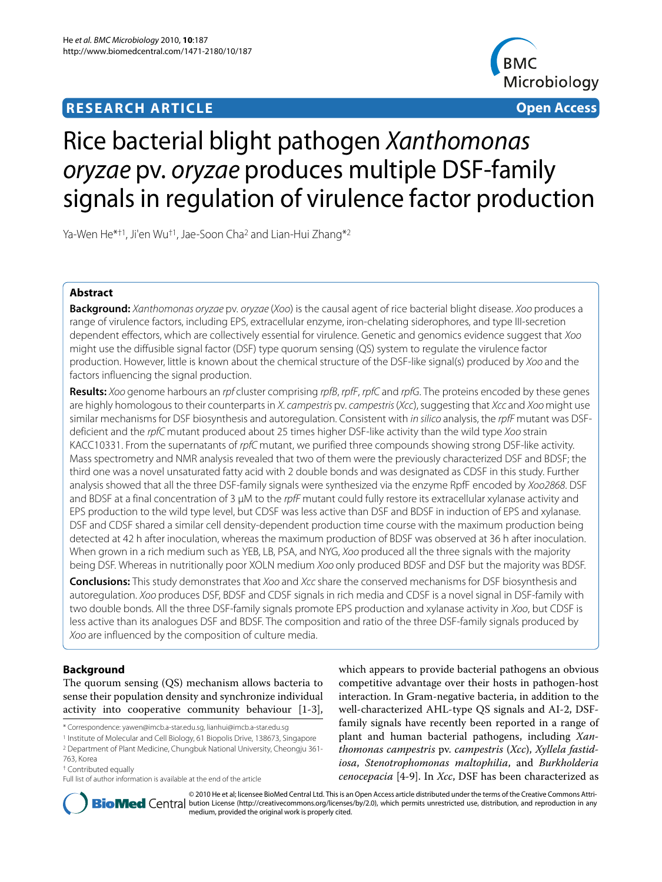# **RESEARCH ARTICLE Open Access**



# Rice bacterial blight pathogen Xanthomonas oryzae pv. oryzae produces multiple DSF-family signals in regulation of virulence factor production

Ya-Wen He\*†1, Ji'en Wu†1, Jae-Soon Cha2 and Lian-Hui Zhang\*2

## **Abstract**

**Background:** Xanthomonas oryzae pv. oryzae (Xoo) is the causal agent of rice bacterial blight disease. Xoo produces a range of virulence factors, including EPS, extracellular enzyme, iron-chelating siderophores, and type III-secretion dependent effectors, which are collectively essential for virulence. Genetic and genomics evidence suggest that Xoo might use the diffusible signal factor (DSF) type quorum sensing (QS) system to regulate the virulence factor production. However, little is known about the chemical structure of the DSF-like signal(s) produced by Xoo and the factors influencing the signal production.

**Results:** Xoo genome harbours an rpf cluster comprising rpfB, rpfF, rpfC and rpfG. The proteins encoded by these genes are highly homologous to their counterparts in X. campestris pv. campestris (Xcc), suggesting that Xcc and Xoo might use similar mechanisms for DSF biosynthesis and autoregulation. Consistent with in silico analysis, the rpfF mutant was DSFdeficient and the rpfC mutant produced about 25 times higher DSF-like activity than the wild type Xoo strain KACC10331. From the supernatants of rpfC mutant, we purified three compounds showing strong DSF-like activity. Mass spectrometry and NMR analysis revealed that two of them were the previously characterized DSF and BDSF; the third one was a novel unsaturated fatty acid with 2 double bonds and was designated as CDSF in this study. Further analysis showed that all the three DSF-family signals were synthesized via the enzyme RpfF encoded by Xoo2868. DSF and BDSF at a final concentration of 3 μM to the rpfF mutant could fully restore its extracellular xylanase activity and EPS production to the wild type level, but CDSF was less active than DSF and BDSF in induction of EPS and xylanase. DSF and CDSF shared a similar cell density-dependent production time course with the maximum production being detected at 42 h after inoculation, whereas the maximum production of BDSF was observed at 36 h after inoculation. When grown in a rich medium such as YEB, LB, PSA, and NYG, Xoo produced all the three signals with the majority being DSF. Whereas in nutritionally poor XOLN medium Xoo only produced BDSF and DSF but the majority was BDSF.

**Conclusions:** This study demonstrates that Xoo and Xcc share the conserved mechanisms for DSF biosynthesis and autoregulation. Xoo produces DSF, BDSF and CDSF signals in rich media and CDSF is a novel signal in DSF-family with two double bonds. All the three DSF-family signals promote EPS production and xylanase activity in Xoo, but CDSF is less active than its analogues DSF and BDSF. The composition and ratio of the three DSF-family signals produced by Xoo are influenced by the composition of culture media.

# **Background**

The quorum sensing (QS) mechanism allows bacteria to sense their population density and synchronize individual activity into cooperative community behaviour [[1-](#page-7-0)[3](#page-7-1)],

\* Correspondence: yawen@imcb.a-star.edu.sg, lianhui@imcb.a-star.edu.sg

which appears to provide bacterial pathogens an obvious competitive advantage over their hosts in pathogen-host interaction. In Gram-negative bacteria, in addition to the well-characterized AHL-type QS signals and AI-2, DSFfamily signals have recently been reported in a range of plant and human bacterial pathogens, including *Xanthomonas campestris* pv. *campestris* (*Xcc*), *Xyllela fastidiosa*, *Stenotrophomonas maltophilia*, and *Burkholderia cenocepacia* [[4-](#page-7-2)[9](#page-7-3)]. In *Xcc*, DSF has been characterized as



© 2010 He et al; licensee BioMed Central Ltd. This is an Open Access article distributed under the terms of the Creative Commons Attri-**Bio Med** Central bution License (http://creativecommons.org/licenses/by/2.0), which permits unrestricted use, distribution, and reproduction in any medium, provided the original work is properly cited.

<sup>1</sup> Institute of Molecular and Cell Biology, 61 Biopolis Drive, 138673, Singapore

<sup>2</sup> Department of Plant Medicine, Chungbuk National University, Cheongju 361-

<sup>763,</sup> Korea

<sup>†</sup> Contributed equally

Full list of author information is available at the end of the article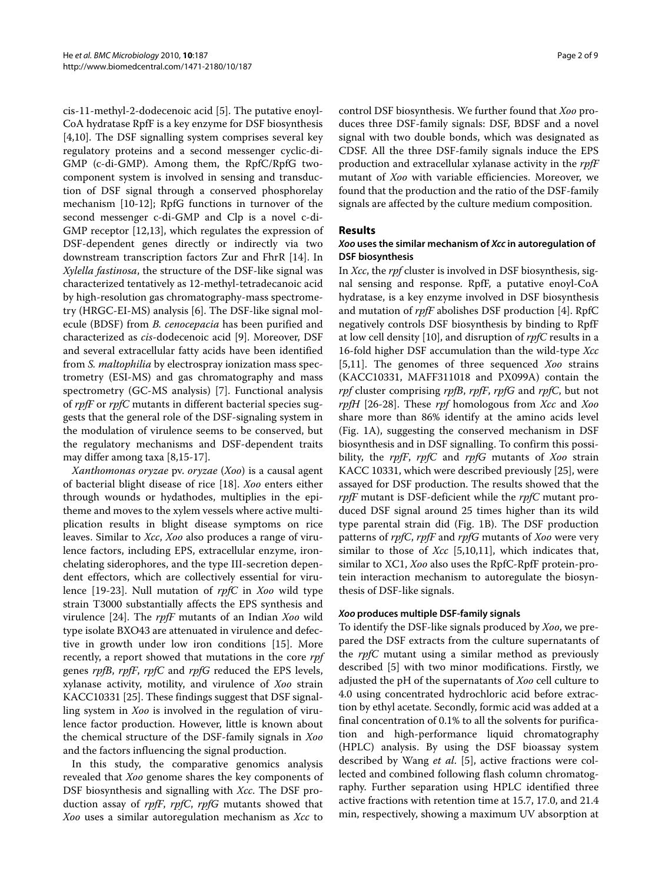cis-11-methyl-2-dodecenoic acid [\[5](#page-7-4)]. The putative enoyl-CoA hydratase RpfF is a key enzyme for DSF biosynthesis [[4,](#page-7-2)[10\]](#page-7-5). The DSF signalling system comprises several key regulatory proteins and a second messenger cyclic-di-GMP (c-di-GMP). Among them, the RpfC/RpfG twocomponent system is involved in sensing and transduction of DSF signal through a conserved phosphorelay mechanism [\[10](#page-7-5)-[12\]](#page-7-6); RpfG functions in turnover of the second messenger c-di-GMP and Clp is a novel c-di-GMP receptor [\[12](#page-7-6)[,13](#page-7-7)], which regulates the expression of DSF-dependent genes directly or indirectly via two downstream transcription factors Zur and FhrR [\[14\]](#page-7-8). In *Xylella fastinosa*, the structure of the DSF-like signal was characterized tentatively as 12-methyl-tetradecanoic acid by high-resolution gas chromatography-mass spectrometry (HRGC-EI-MS) analysis [\[6](#page-7-9)]. The DSF-like signal molecule (BDSF) from *B. cenocepacia* has been purified and characterized as *cis*-dodecenoic acid [\[9](#page-7-3)]. Moreover, DSF and several extracellular fatty acids have been identified from *S. maltophilia* by electrospray ionization mass spectrometry (ESI-MS) and gas chromatography and mass spectrometry (GC-MS analysis) [[7\]](#page-7-10). Functional analysis of *rpfF* or *rpfC* mutants in different bacterial species suggests that the general role of the DSF-signaling system in the modulation of virulence seems to be conserved, but the regulatory mechanisms and DSF-dependent traits may differ among taxa [\[8](#page-7-11)[,15](#page-7-12)-[17\]](#page-7-13).

*Xanthomonas oryzae* pv. *oryzae* (*Xoo*) is a causal agent of bacterial blight disease of rice [\[18](#page-7-14)]. *Xoo* enters either through wounds or hydathodes, multiplies in the epitheme and moves to the xylem vessels where active multiplication results in blight disease symptoms on rice leaves. Similar to *Xcc*, *Xoo* also produces a range of virulence factors, including EPS, extracellular enzyme, ironchelating siderophores, and the type III-secretion dependent effectors, which are collectively essential for virulence [[19](#page-7-15)[-23\]](#page-7-16). Null mutation of *rpfC* in *Xoo* wild type strain T3000 substantially affects the EPS synthesis and virulence [\[24](#page-7-17)]. The *rpfF* mutants of an Indian *Xoo* wild type isolate BXO43 are attenuated in virulence and defective in growth under low iron conditions [[15\]](#page-7-12). More recently, a report showed that mutations in the core *rpf* genes *rpfB*, *rpfF*, *rpfC* and *rpfG* reduced the EPS levels, xylanase activity, motility, and virulence of *Xoo* strain KACC10331 [[25\]](#page-7-18). These findings suggest that DSF signalling system in *Xoo* is involved in the regulation of virulence factor production. However, little is known about the chemical structure of the DSF-family signals in *Xoo* and the factors influencing the signal production.

In this study, the comparative genomics analysis revealed that *Xoo* genome shares the key components of DSF biosynthesis and signalling with *Xcc*. The DSF production assay of *rpfF*, *rpfC*, *rpfG* mutants showed that *Xoo* uses a similar autoregulation mechanism as *Xcc* to

control DSF biosynthesis. We further found that *Xoo* produces three DSF-family signals: DSF, BDSF and a novel signal with two double bonds, which was designated as CDSF. All the three DSF-family signals induce the EPS production and extracellular xylanase activity in the *rpfF* mutant of *Xoo* with variable efficiencies. Moreover, we found that the production and the ratio of the DSF-family signals are affected by the culture medium composition.

## **Results**

## **Xoo uses the similar mechanism of Xcc in autoregulation of DSF biosynthesis**

In *Xcc*, the *rpf* cluster is involved in DSF biosynthesis, signal sensing and response. RpfF, a putative enoyl-CoA hydratase, is a key enzyme involved in DSF biosynthesis and mutation of *rpfF* abolishes DSF production [[4\]](#page-7-2). RpfC negatively controls DSF biosynthesis by binding to RpfF at low cell density [[10\]](#page-7-5), and disruption of *rpfC* results in a 16-fold higher DSF accumulation than the wild-type *Xcc* [[5,](#page-7-4)[11\]](#page-7-19). The genomes of three sequenced *Xoo* strains (KACC10331, MAFF311018 and PX099A) contain the *rpf* cluster comprising *rpfB*, *rpfF*, *rpfG* and *rpfC*, but not *rpfH* [[26-](#page-7-20)[28\]](#page-7-21). These *rpf* homologous from *Xcc* and *Xoo* share more than 86% identify at the amino acids level (Fig. [1A](#page-2-0)), suggesting the conserved mechanism in DSF biosynthesis and in DSF signalling. To confirm this possibility, the *rpfF*, *rpfC* and *rpfG* mutants of *Xoo* strain KACC 10331, which were described previously [[25](#page-7-18)], were assayed for DSF production. The results showed that the *rpfF* mutant is DSF-deficient while the *rpfC* mutant produced DSF signal around 25 times higher than its wild type parental strain did (Fig. [1B](#page-2-0)). The DSF production patterns of *rpfC*, *rpfF* and *rpfG* mutants of *Xoo* were very similar to those of *Xcc* [[5,](#page-7-4)[10](#page-7-5)[,11](#page-7-19)], which indicates that, similar to XC1, *Xoo* also uses the RpfC-RpfF protein-protein interaction mechanism to autoregulate the biosynthesis of DSF-like signals.

## **Xoo produces multiple DSF-family signals**

To identify the DSF-like signals produced by *Xoo*, we prepared the DSF extracts from the culture supernatants of the *rpfC* mutant using a similar method as previously described [\[5](#page-7-4)] with two minor modifications. Firstly, we adjusted the pH of the supernatants of *Xoo* cell culture to 4.0 using concentrated hydrochloric acid before extraction by ethyl acetate. Secondly, formic acid was added at a final concentration of 0.1% to all the solvents for purification and high-performance liquid chromatography (HPLC) analysis. By using the DSF bioassay system described by Wang *et al*. [[5\]](#page-7-4), active fractions were collected and combined following flash column chromatography. Further separation using HPLC identified three active fractions with retention time at 15.7, 17.0, and 21.4 min, respectively, showing a maximum UV absorption at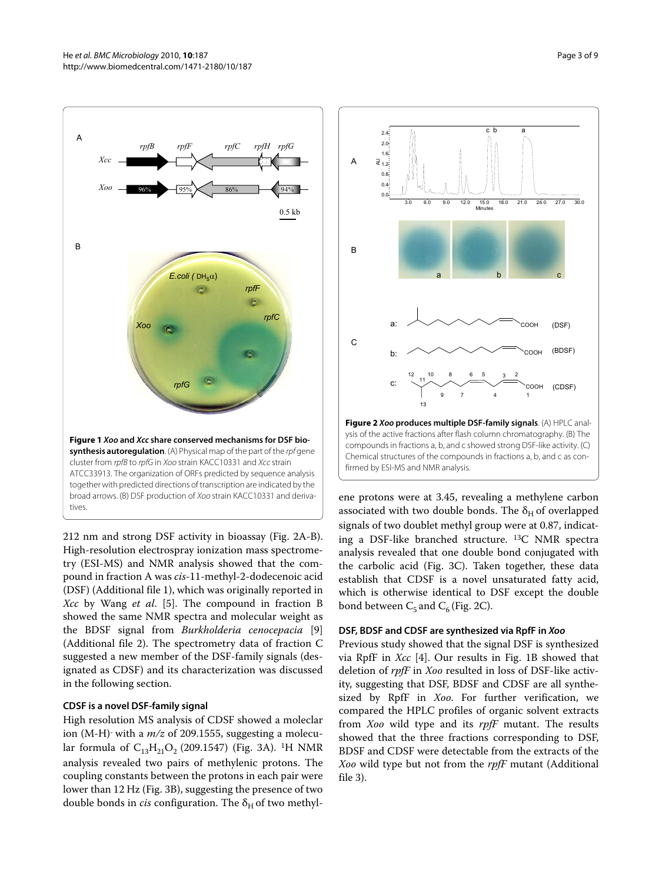<span id="page-2-0"></span>

212 nm and strong DSF activity in bioassay (Fig. [2A](#page-2-1)-B). High-resolution electrospray ionization mass spectrometry (ESI-MS) and NMR analysis showed that the compound in fraction A was *cis*-11-methyl-2-dodecenoic acid (DSF) (Additional file [1\)](#page-7-22), which was originally reported in *Xcc* by Wang *et al*. [\[5](#page-7-4)]. The compound in fraction B showed the same NMR spectra and molecular weight as the BDSF signal from *Burkholderia cenocepacia* [\[9](#page-7-3)] (Additional file [2](#page-7-23)). The spectrometry data of fraction C suggested a new member of the DSF-family signals (designated as CDSF) and its characterization was discussed in the following section.

## **CDSF is a novel DSF-family signal**

High resolution MS analysis of CDSF showed a moleclar ion (M-H)<sup>-</sup> with a  $m/z$  of 209.1555, suggesting a molecular formula of  $C_{13}H_{21}O_2$  $C_{13}H_{21}O_2$  $C_{13}H_{21}O_2$  (209.1547) (Fig. 3A). <sup>1</sup>H NMR analysis revealed two pairs of methylenic protons. The coupling constants between the protons in each pair were lower than 12 Hz (Fig. [3](#page-3-0)B), suggesting the presence of two double bonds in *cis* configuration. The  $\delta_H$  of two methyl-

<span id="page-2-1"></span>

ysis of the active fractions after flash column chromatography. (B) The compounds in fractions a, b, and c showed strong DSF-like activity. (C) Chemical structures of the compounds in fractions a, b, and c as confirmed by ESI-MS and NMR analysis.

ene protons were at 3.45, revealing a methylene carbon associated with two double bonds. The  $\delta_H$  of overlapped signals of two doublet methyl group were at 0.87, indicating a DSF-like branched structure. 13C NMR spectra analysis revealed that one double bond conjugated with the carbolic acid (Fig. [3C](#page-3-0)). Taken together, these data establish that CDSF is a novel unsaturated fatty acid, which is otherwise identical to DSF except the double bond between  $C_5$  and  $C_6$  (Fig. [2](#page-2-1)C).

#### **DSF, BDSF and CDSF are synthesized via RpfF in Xoo**

Previous study showed that the signal DSF is synthesized via RpfF in *Xcc* [[4](#page-7-2)]. Our results in Fig. [1B](#page-2-0) showed that deletion of *rpfF* in *Xoo* resulted in loss of DSF-like activity, suggesting that DSF, BDSF and CDSF are all synthesized by RpfF in *Xoo*. For further verification, we compared the HPLC profiles of organic solvent extracts from *Xoo* wild type and its *rpfF* mutant. The results showed that the three fractions corresponding to DSF, BDSF and CDSF were detectable from the extracts of the *Xoo* wild type but not from the *rpfF* mutant (Additional file [3\)](#page-7-24).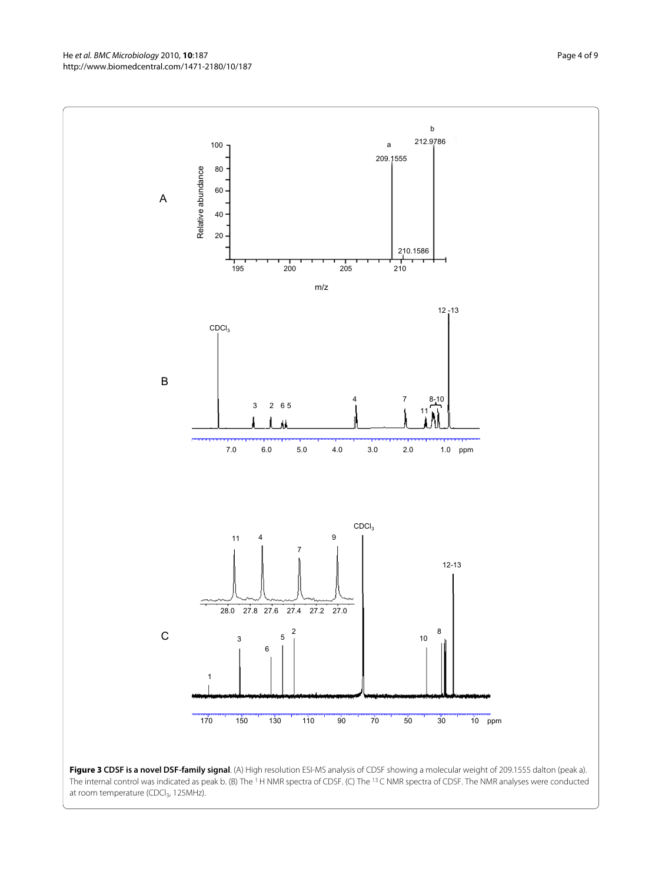He et al. BMC Microbiology 2010, **10**:187 http://www.biomedcentral.com/1471-2180/10/187

<span id="page-3-0"></span>

**Figure 3 CDSF is a novel DSF-family signal**. (A) High resolution ESI-MS analysis of CDSF showing a molecular weight of 209.1555 dalton (peak a). The internal control was indicated as peak b. (B) The <sup>1</sup> H NMR spectra of CDSF. (C) The <sup>13</sup> C NMR spectra of CDSF. The NMR analyses were conducted at room temperature (CDCl<sub>3</sub>, 125MHz).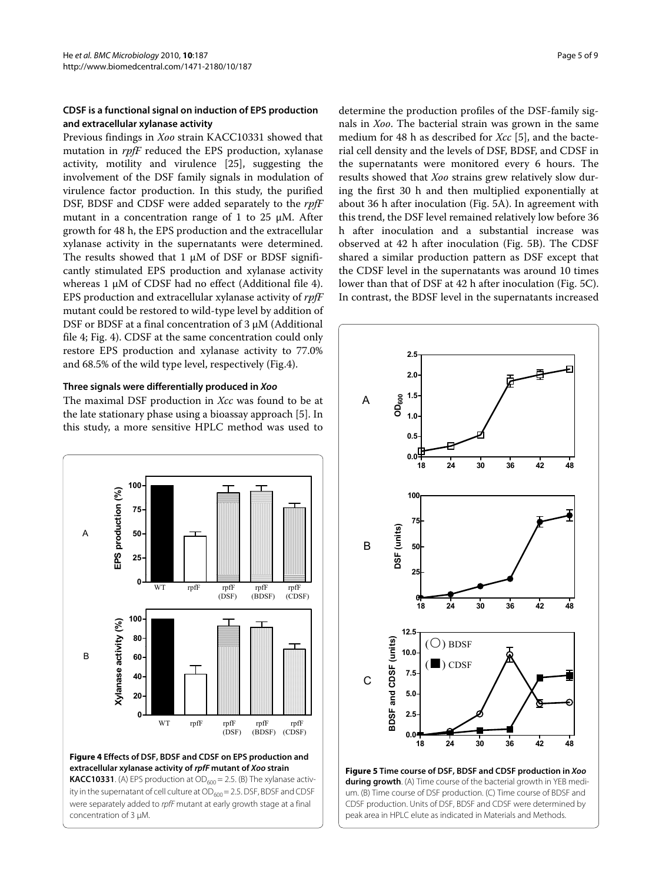## **CDSF is a functional signal on induction of EPS production and extracellular xylanase activity**

Previous findings in *Xoo* strain KACC10331 showed that mutation in *rpfF* reduced the EPS production, xylanase activity, motility and virulence [\[25\]](#page-7-18), suggesting the involvement of the DSF family signals in modulation of virulence factor production. In this study, the purified DSF, BDSF and CDSF were added separately to the *rpfF* mutant in a concentration range of 1 to 25 μM. After growth for 48 h, the EPS production and the extracellular xylanase activity in the supernatants were determined. The results showed that  $1 \mu M$  of DSF or BDSF significantly stimulated EPS production and xylanase activity whereas 1 μM of CDSF had no effect (Additional file [4](#page-7-25)). EPS production and extracellular xylanase activity of *rpfF* mutant could be restored to wild-type level by addition of DSF or BDSF at a final concentration of 3 μM (Additional file [4;](#page-7-25) Fig. [4\)](#page-4-0). CDSF at the same concentration could only restore EPS production and xylanase activity to 77.0% and 68.5% of the wild type level, respectively (Fig.4).

## **Three signals were differentially produced in Xoo**

The maximal DSF production in *Xcc* was found to be at the late stationary phase using a bioassay approach [\[5\]](#page-7-4). In this study, a more sensitive HPLC method was used to

<span id="page-4-0"></span>

**extracellular xylanase activity of rpfF mutant of Xoo strain KACC10331.** (A) EPS production at  $OD_{600} = 2.5$ . (B) The xylanase activity in the supernatant of cell culture at  $OD_{600} = 2.5$ . DSF, BDSF and CDSF were separately added to rpfF mutant at early growth stage at a final concentration of 3 μM.

determine the production profiles of the DSF-family signals in *Xoo*. The bacterial strain was grown in the same medium for 48 h as described for *Xcc* [\[5](#page-7-4)], and the bacterial cell density and the levels of DSF, BDSF, and CDSF in the supernatants were monitored every 6 hours. The results showed that *Xoo* strains grew relatively slow during the first 30 h and then multiplied exponentially at about 36 h after inoculation (Fig. [5A](#page-4-1)). In agreement with this trend, the DSF level remained relatively low before 36 h after inoculation and a substantial increase was observed at 42 h after inoculation (Fig. [5](#page-4-1)B). The CDSF shared a similar production pattern as DSF except that the CDSF level in the supernatants was around 10 times lower than that of DSF at 42 h after inoculation (Fig. [5](#page-4-1)C). In contrast, the BDSF level in the supernatants increased

<span id="page-4-1"></span>

**during growth**. (A) Time course of the bacterial growth in YEB medium. (B) Time course of DSF production. (C) Time course of BDSF and CDSF production. Units of DSF, BDSF and CDSF were determined by peak area in HPLC elute as indicated in Materials and Methods.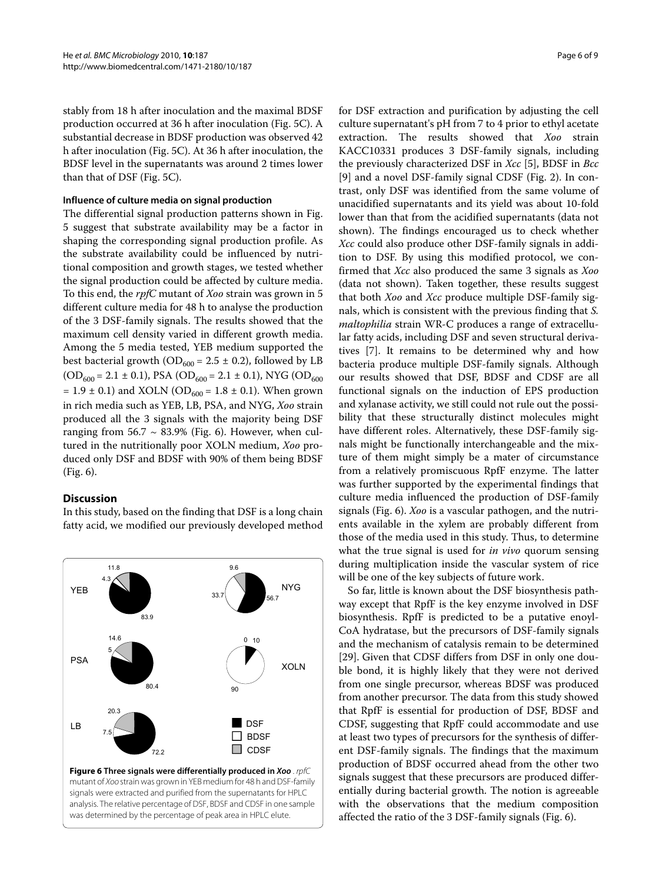stably from 18 h after inoculation and the maximal BDSF production occurred at 36 h after inoculation (Fig. [5](#page-4-1)C). A substantial decrease in BDSF production was observed 42 h after inoculation (Fig. [5](#page-4-1)C). At 36 h after inoculation, the BDSF level in the supernatants was around 2 times lower than that of DSF (Fig. [5](#page-4-1)C).

#### **Influence of culture media on signal production**

The differential signal production patterns shown in Fig. [5](#page-4-1) suggest that substrate availability may be a factor in shaping the corresponding signal production profile. As the substrate availability could be influenced by nutritional composition and growth stages, we tested whether the signal production could be affected by culture media. To this end, the *rpfC* mutant of *Xoo* strain was grown in 5 different culture media for 48 h to analyse the production of the 3 DSF-family signals. The results showed that the maximum cell density varied in different growth media. Among the 5 media tested, YEB medium supported the best bacterial growth (OD<sub>600</sub> = 2.5  $\pm$  0.2), followed by LB  $(OD_{600} = 2.1 \pm 0.1)$ , PSA  $(OD_{600} = 2.1 \pm 0.1)$ , NYG  $(OD_{600}$ = 1.9  $\pm$  0.1) and XOLN (OD<sub>600</sub> = 1.8  $\pm$  0.1). When grown in rich media such as YEB, LB, PSA, and NYG, *Xoo* strain produced all the 3 signals with the majority being DSF ranging from  $56.7 \sim 83.9\%$  $56.7 \sim 83.9\%$  $56.7 \sim 83.9\%$  (Fig. 6). However, when cultured in the nutritionally poor XOLN medium, *Xoo* produced only DSF and BDSF with 90% of them being BDSF (Fig. [6\)](#page-5-0).

#### **Discussion**

In this study, based on the finding that DSF is a long chain fatty acid, we modified our previously developed method

signals were extracted and purified from the supernatants for HPLC analysis. The relative percentage of DSF, BDSF and CDSF in one sample was determined by the percentage of peak area in HPLC elute.

for DSF extraction and purification by adjusting the cell culture supernatant's pH from 7 to 4 prior to ethyl acetate extraction. The results showed that *Xoo* strain KACC10331 produces 3 DSF-family signals, including the previously characterized DSF in *Xcc* [[5\]](#page-7-4), BDSF in *Bcc* [[9\]](#page-7-3) and a novel DSF-family signal CDSF (Fig. [2\)](#page-2-1). In contrast, only DSF was identified from the same volume of unacidified supernatants and its yield was about 10-fold lower than that from the acidified supernatants (data not shown). The findings encouraged us to check whether *Xcc* could also produce other DSF-family signals in addition to DSF. By using this modified protocol, we confirmed that *Xcc* also produced the same 3 signals as *Xoo* (data not shown). Taken together, these results suggest that both *Xoo* and *Xcc* produce multiple DSF-family signals, which is consistent with the previous finding that *S. maltophilia* strain WR-C produces a range of extracellular fatty acids, including DSF and seven structural derivatives [[7\]](#page-7-10). It remains to be determined why and how bacteria produce multiple DSF-family signals. Although our results showed that DSF, BDSF and CDSF are all functional signals on the induction of EPS production and xylanase activity, we still could not rule out the possibility that these structurally distinct molecules might have different roles. Alternatively, these DSF-family signals might be functionally interchangeable and the mixture of them might simply be a mater of circumstance from a relatively promiscuous RpfF enzyme. The latter was further supported by the experimental findings that culture media influenced the production of DSF-family signals (Fig. [6](#page-5-0)). *Xoo* is a vascular pathogen, and the nutrients available in the xylem are probably different from those of the media used in this study. Thus, to determine what the true signal is used for *in vivo* quorum sensing during multiplication inside the vascular system of rice will be one of the key subjects of future work.

So far, little is known about the DSF biosynthesis pathway except that RpfF is the key enzyme involved in DSF biosynthesis. RpfF is predicted to be a putative enoyl-CoA hydratase, but the precursors of DSF-family signals and the mechanism of catalysis remain to be determined [[29\]](#page-8-0). Given that CDSF differs from DSF in only one double bond, it is highly likely that they were not derived from one single precursor, whereas BDSF was produced from another precursor. The data from this study showed that RpfF is essential for production of DSF, BDSF and CDSF, suggesting that RpfF could accommodate and use at least two types of precursors for the synthesis of different DSF-family signals. The findings that the maximum production of BDSF occurred ahead from the other two signals suggest that these precursors are produced differentially during bacterial growth. The notion is agreeable with the observations that the medium composition affected the ratio of the 3 DSF-family signals (Fig. [6\)](#page-5-0).

<span id="page-5-0"></span>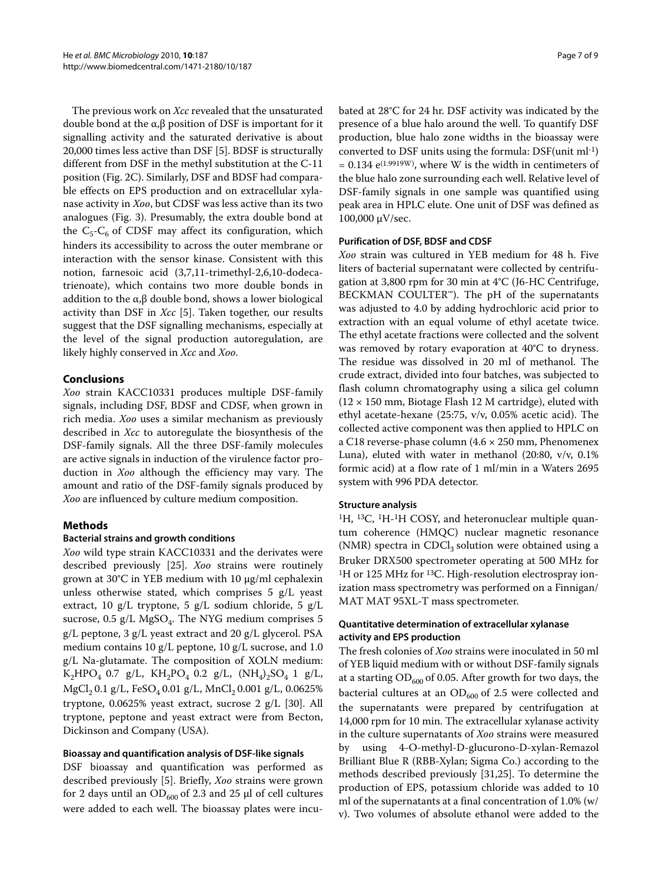The previous work on *Xcc* revealed that the unsaturated double bond at the α,β position of DSF is important for it signalling activity and the saturated derivative is about 20,000 times less active than DSF [[5\]](#page-7-4). BDSF is structurally different from DSF in the methyl substitution at the C-11 position (Fig. [2](#page-2-1)C). Similarly, DSF and BDSF had comparable effects on EPS production and on extracellular xylanase activity in *Xoo*, but CDSF was less active than its two analogues (Fig. [3](#page-3-0)). Presumably, the extra double bond at the  $C_5-C_6$  of CDSF may affect its configuration, which hinders its accessibility to across the outer membrane or interaction with the sensor kinase. Consistent with this notion, farnesoic acid (3,7,11-trimethyl-2,6,10-dodecatrienoate), which contains two more double bonds in addition to the  $\alpha, \beta$  double bond, shows a lower biological activity than DSF in *Xcc* [[5\]](#page-7-4). Taken together, our results suggest that the DSF signalling mechanisms, especially at the level of the signal production autoregulation, are likely highly conserved in *Xcc* and *Xoo*.

## **Conclusions**

*Xoo* strain KACC10331 produces multiple DSF-family signals, including DSF, BDSF and CDSF, when grown in rich media. *Xoo* uses a similar mechanism as previously described in *Xcc* to autoregulate the biosynthesis of the DSF-family signals. All the three DSF-family molecules are active signals in induction of the virulence factor production in *Xoo* although the efficiency may vary. The amount and ratio of the DSF-family signals produced by *Xoo* are influenced by culture medium composition.

## **Methods**

## **Bacterial strains and growth conditions**

*Xoo* wild type strain KACC10331 and the derivates were described previously [\[25](#page-7-18)]. *Xoo* strains were routinely grown at 30°C in YEB medium with 10 μg/ml cephalexin unless otherwise stated, which comprises 5 g/L yeast extract, 10 g/L tryptone, 5 g/L sodium chloride, 5 g/L sucrose,  $0.5$  g/L MgSO<sub>4</sub>. The NYG medium comprises 5 g/L peptone, 3 g/L yeast extract and 20 g/L glycerol. PSA medium contains 10 g/L peptone, 10 g/L sucrose, and 1.0 g/L Na-glutamate. The composition of XOLN medium:  $K_2HPO_4$  0.7 g/L,  $KH_2PO_4$  0.2 g/L,  $(NH_4)_2SO_4$  1 g/L, MgCl<sub>2</sub> 0.1 g/L, FeSO<sub>4</sub> 0.01 g/L, MnCl<sub>2</sub> 0.001 g/L, 0.0625% tryptone, 0.0625% yeast extract, sucrose 2 g/L [\[30](#page-8-1)]. All tryptone, peptone and yeast extract were from Becton, Dickinson and Company (USA).

## **Bioassay and quantification analysis of DSF-like signals**

DSF bioassay and quantification was performed as described previously [[5\]](#page-7-4). Briefly, *Xoo* strains were grown for 2 days until an  $OD_{600}$  of 2.3 and 25  $\mu$ l of cell cultures were added to each well. The bioassay plates were incubated at 28°C for 24 hr. DSF activity was indicated by the presence of a blue halo around the well. To quantify DSF production, blue halo zone widths in the bioassay were converted to DSF units using the formula: DSF(unit ml-1)  $= 0.134$  e<sup>(1.9919W)</sup>, where W is the width in centimeters of the blue halo zone surrounding each well. Relative level of DSF-family signals in one sample was quantified using peak area in HPLC elute. One unit of DSF was defined as 100,000 μV/sec.

#### **Purification of DSF, BDSF and CDSF**

*Xoo* strain was cultured in YEB medium for 48 h. Five liters of bacterial supernatant were collected by centrifugation at 3,800 rpm for 30 min at 4°C (J6-HC Centrifuge, BECKMAN COULTER™). The pH of the supernatants was adjusted to 4.0 by adding hydrochloric acid prior to extraction with an equal volume of ethyl acetate twice. The ethyl acetate fractions were collected and the solvent was removed by rotary evaporation at 40°C to dryness. The residue was dissolved in 20 ml of methanol. The crude extract, divided into four batches, was subjected to flash column chromatography using a silica gel column  $(12 \times 150 \text{ mm}$ , Biotage Flash 12 M cartridge), eluted with ethyl acetate-hexane (25:75, v/v, 0.05% acetic acid). The collected active component was then applied to HPLC on a C18 reverse-phase column (4.6 × 250 mm, Phenomenex Luna), eluted with water in methanol (20:80, v/v, 0.1% formic acid) at a flow rate of 1 ml/min in a Waters 2695 system with 996 PDA detector.

#### **Structure analysis**

1H, 13C, 1H-1H COSY, and heteronuclear multiple quantum coherence (HMQC) nuclear magnetic resonance (NMR) spectra in  $CDCl<sub>3</sub>$  solution were obtained using a Bruker DRX500 spectrometer operating at 500 MHz for <sup>1</sup>H or 125 MHz for <sup>13</sup>C. High-resolution electrospray ionization mass spectrometry was performed on a Finnigan/ MAT MAT 95XL-T mass spectrometer.

## **Quantitative determination of extracellular xylanase activity and EPS production**

The fresh colonies of *Xoo* strains were inoculated in 50 ml of YEB liquid medium with or without DSF-family signals at a starting  $OD_{600}$  of 0.05. After growth for two days, the bacterial cultures at an  $OD_{600}$  of 2.5 were collected and the supernatants were prepared by centrifugation at 14,000 rpm for 10 min. The extracellular xylanase activity in the culture supernatants of *Xoo* strains were measured by using 4-O-methyl-D-glucurono-D-xylan-Remazol Brilliant Blue R (RBB-Xylan; Sigma Co.) according to the methods described previously [[31](#page-8-2),[25](#page-7-18)]. To determine the production of EPS, potassium chloride was added to 10 ml of the supernatants at a final concentration of 1.0% (w/ v). Two volumes of absolute ethanol were added to the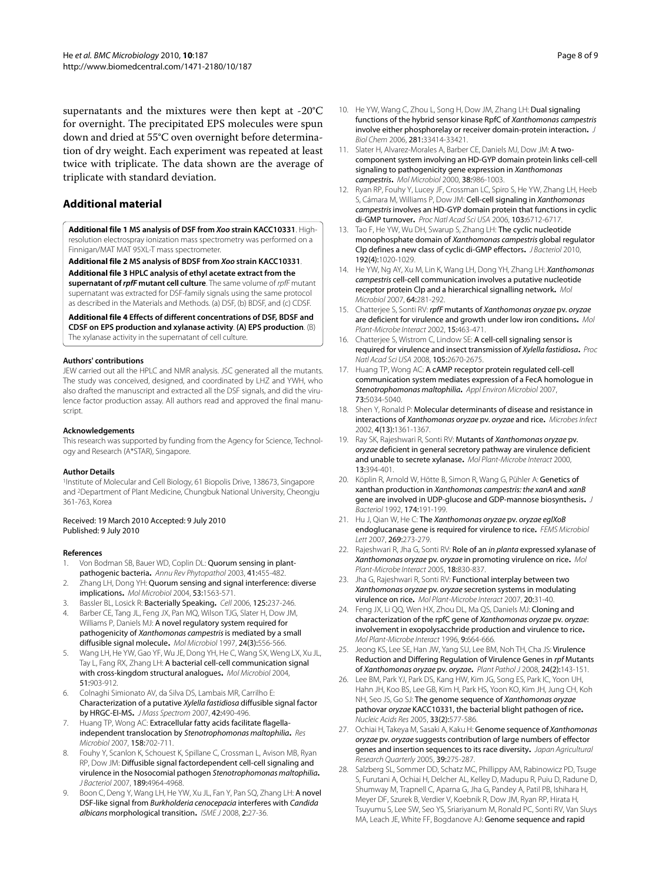supernatants and the mixtures were then kept at -20°C for overnight. The precipitated EPS molecules were spun down and dried at 55°C oven overnight before determination of dry weight. Each experiment was repeated at least twice with triplicate. The data shown are the average of triplicate with standard deviation.

## **Additional material**

<span id="page-7-22"></span>**[Additional file 1](http://www.biomedcentral.com/content/supplementary/1471-2180-10-187-S1.PPT) MS analysis of DSF from Xoo strain KACC10331**. Highresolution electrospray ionization mass spectrometry was performed on a Finnigan/MAT MAT 95XL-T mass spectrometer.

<span id="page-7-24"></span><span id="page-7-23"></span>**[Additional file 2](http://www.biomedcentral.com/content/supplementary/1471-2180-10-187-S2.PPT) MS analysis of BDSF from Xoo strain KACC10331**. **[Additional file 3](http://www.biomedcentral.com/content/supplementary/1471-2180-10-187-S3.PPT) HPLC analysis of ethyl acetate extract from the supernatant of rpfF mutant cell culture**. The same volume of rpfF mutant supernatant was extracted for DSF-family signals using the same protocol as described in the Materials and Methods. (a) DSF, (b) BDSF, and (c) CDSF.

<span id="page-7-25"></span>**[Additional file 4](http://www.biomedcentral.com/content/supplementary/1471-2180-10-187-S4.PPT) Effects of different concentrations of DSF, BDSF and CDSF on EPS production and xylanase activity**. **(A) EPS production**. (B) The xylanase activity in the supernatant of cell culture.

#### **Authors' contributions**

JEW carried out all the HPLC and NMR analysis. JSC generated all the mutants. The study was conceived, designed, and coordinated by LHZ and YWH, who also drafted the manuscript and extracted all the DSF signals, and did the virulence factor production assay. All authors read and approved the final manuscript.

#### **Acknowledgements**

This research was supported by funding from the Agency for Science, Technology and Research (A\*STAR), Singapore.

#### **Author Details**

1Institute of Molecular and Cell Biology, 61 Biopolis Drive, 138673, Singapore and 2Department of Plant Medicine, Chungbuk National University, Cheongju 361-763, Korea

Received: 19 March 2010 Accepted: 9 July 2010 Published: 9 July 2010

#### **References**

- <span id="page-7-0"></span>Von Bodman SB, Bauer WD, Coplin DL: Quorum sensing in plantpathogenic bacteria**[.](http://www.ncbi.nlm.nih.gov/entrez/query.fcgi?cmd=Retrieve&db=PubMed&dopt=Abstract&list_uids=12730390)** Annu Rev Phytopathol 2003, 41:455-482.
- 2. Zhang LH, Dong YH: Quorum sensing and signal interference: diverse implications**.** Mol Microbiol 2004, 53:1563-571.
- <span id="page-7-1"></span>3. Bassler BL, Losick R: Bacterially Speaking**.** Cell 2006, 125:237-246.
- <span id="page-7-2"></span>4. Barber CE, Tang JL, Feng JX, Pan MQ, Wilson TJG, Slater H, Dow JM, Williams P, Daniels MJ: A novel regulatory system required for pathogenicity of Xanthomonas campestris is mediated by a small diffusible signal molecule**.** Mol Microbiol 1997, 24(3):556-566.
- <span id="page-7-4"></span>Wang LH, He YW, Gao YF, Wu JE, Dong YH, He C, Wang SX, Weng LX, Xu JL, Tay L, Fang RX, Zhang LH: A bacterial cell-cell communication signal with cross-kingdom structural analogues**.** Mol Microbiol 2004, 51:903-912.
- <span id="page-7-9"></span>6. Colnaghi Simionato AV, da Silva DS, Lambais MR, Carrilho E: Characterization of a putative Xylella fastidiosa diffusible signal factor by HRGC-EI-MS**.** J Mass Spectrom 2007, 42:490-496.
- <span id="page-7-10"></span>7. Huang TP, Wong AC: Extracellular fatty acids facilitate flagellaindependent translocation by Stenotrophomonas maltophilia**.** Res Microbiol 2007, 158:702-711.
- <span id="page-7-11"></span>8. Fouhy Y, Scanlon K, Schouest K, Spillane C, Crossman L, Avison MB, Ryan RP, Dow JM: Diffusible signal factordependent cell-cell signaling and virulence in the Nosocomial pathogen Stenotrophomonas maltophilia**.** J Bacteriol 2007, 189:4964-4968.
- <span id="page-7-3"></span>Boon C, Deng Y, Wang LH, He YW, Xu JL, Fan Y, Pan SQ, Zhang LH: A novel DSF-like signal from Burkholderia cenocepacia interferes with Candida albicans morphological transition**[.](http://www.ncbi.nlm.nih.gov/entrez/query.fcgi?cmd=Retrieve&db=PubMed&dopt=Abstract&list_uids=18049456)** ISME J 2008, 2:27-36.
- <span id="page-7-5"></span>10. He YW, Wang C, Zhou L, Song H, Dow JM, Zhang LH: Dual signaling functions of the hybrid sensor kinase RpfC of Xanthomonas campestris involve either phosphorelay or receiver domain-protein interaction**.** J Biol Chem 2006, 281:33414-33421.
- <span id="page-7-19"></span>11. Slater H, Alvarez-Morales A, Barber CE, Daniels MJ, Dow JM: A twocomponent system involving an HD-GYP domain protein links cell-cell signaling to pathogenicity gene expression in Xanthomonas campestris**.** Mol Microbiol 2000, 38:986-1003.
- <span id="page-7-6"></span>12. Ryan RP, Fouhy Y, Lucey JF, Crossman LC, Spiro S, He YW, Zhang LH, Heeb S, Cámara M, Williams P, Dow JM: Cell-cell signaling in Xanthomonas campestris involves an HD-GYP domain protein that functions in cyclic di-GMP turnover**.** Proc Natl Acad Sci USA 2006, 103:6712-6717.
- <span id="page-7-7"></span>13. Tao F, He YW, Wu DH, Swarup S, Zhang LH: The cyclic nucleotide monophosphate domain of Xanthomonas campestris global regulator Clp defines a new class of cyclic di-GMP effectors**.** J Bacteriol 2010, 192(4):1020-1029.
- <span id="page-7-8"></span>14. He YW, Ng AY, Xu M, Lin K, Wang LH, Dong YH, Zhang LH: Xanthomonas campestris cell-cell communication involves a putative nucleotide receptor protein Clp and a hierarchical signalling network**[.](http://www.ncbi.nlm.nih.gov/entrez/query.fcgi?cmd=Retrieve&db=PubMed&dopt=Abstract&list_uids=17378922)** Mol Microbiol 2007, 64:281-292.
- <span id="page-7-12"></span>15. Chatterjee S, Sonti RV: rpfF mutants of Xanthomonas oryzae pv. oryzae are deficient for virulence and growth under low iron conditions**.** Mol Plant-Microbe Interact 2002, 15:463-471.
- 16. Chatterjee S, Wistrom C, Lindow SE: A cell-cell signaling sensor is required for virulence and insect transmission of Xylella fastidiosa**.** Proc Natl Acad Sci USA 2008, 105:2670-2675.
- <span id="page-7-13"></span>17. Huang TP, Wong AC: A cAMP receptor protein regulated cell-cell communication system mediates expression of a FecA homologue in Stenotrophomonas maltophilia**.** Appl Environ Microbiol 2007, 73:5034-5040.
- <span id="page-7-14"></span>18. Shen Y, Ronald P: Molecular determinants of disease and resistance in interactions of Xanthomonas oryzae pv. oryzae and rice**.** Microbes Infect 2002, 4(13):1361-1367.
- <span id="page-7-15"></span>19. Ray SK, Rajeshwari R, Sonti RV: Mutants of Xanthomonas oryzae pv. oryzae deficient in general secretory pathway are virulence deficient and unable to secrete xylanase**.** Mol Plant-Microbe Interact 2000, 13:394-401.
- 20. Köplin R, Arnold W, Hötte B, Simon R, Wang G, Pühler A: Genetics of xanthan production in Xanthomonas campestris: the xanA and xanB gene are involved in UDP-glucose and GDP-mannose biosynthesis**.** J Bacteriol 1992, 174:191-199.
- 21. Hu J, Qian W, He C: The Xanthomonas oryzae pv. oryzae eglXoB endoglucanase gene is required for virulence to rice**.** FEMS Microbiol Lett 2007, 269:273-279.
- 22. Rajeshwari R, Jha G, Sonti RV: Role of an in planta expressed xylanase of Xanthomonas oryzae pv. oryzae in promoting virulence on rice**.** Mol Plant-Microbe Interact 2005, 18:830-837.
- <span id="page-7-16"></span>23. Jha G, Rajeshwari R, Sonti RV: Functional interplay between two Xanthomonas oryzae pv. oryzae secretion systems in modulating virulence on rice**.** Mol Plant-Microbe Interact 2007, 20:31-40.
- <span id="page-7-17"></span>24. Feng JX, Li OO, Wen HX, Zhou DL, Ma OS, Daniels MJ: Cloning and characterization of the rpfC gene of Xanthomonas oryzae pv. oryzae: involvement in exopolysacchride production and virulence to rice**.** Mol Plant-Microbe Interact 1996, 9:664-666.
- <span id="page-7-18"></span>25. Jeong KS, Lee SE, Han JW, Yang SU, Lee BM, Noh TH, Cha JS: Virulence Reduction and Differing Regulation of Virulence Genes in rpf Mutants of Xanthomonas oryzae pv. oryzae**.** Plant Pathol J 2008, 24(2):143-151.
- <span id="page-7-20"></span>26. Lee BM, Park YJ, Park DS, Kang HW, Kim JG, Song ES, Park IC, Yoon UH, Hahn JH, Koo BS, Lee GB, Kim H, Park HS, Yoon KO, Kim JH, Jung CH, Koh NH, Seo JS, Go SJ: The genome sequence of Xanthomonas oryzae pathovar oryzae KACC10331, the bacterial blight pathogen of rice**.** Nucleic Acids Res 2005, 33(2):577-586.
- 27. Ochiai H, Takeya M, Sasaki A, Kaku H: Genome sequence of Xanthomonas oryzae pv. oryzae suggests contribution of large numbers of effector genes and insertion sequences to its race diversity**.** Japan Agricultural Research Quarterly 2005, 39:275-287.
- <span id="page-7-21"></span>28. Salzberg SL, Sommer DD, Schatz MC, Phillippy AM, Rabinowicz PD, Tsuge S, Furutani A, Ochiai H, Delcher AL, Kelley D, Madupu R, Puiu D, Radune D, Shumway M, Trapnell C, Aparna G, Jha G, Pandey A, Patil PB, Ishihara H, Meyer DF, Szurek B, Verdier V, Koebnik R, Dow JM, Ryan RP, Hirata H, Tsuyumu S, Lee SW, Seo YS, Sriariyanum M, Ronald PC, Sonti RV, Van Sluys MA, Leach JE, White FF, Bogdanove AJ: Genome sequence and rapid